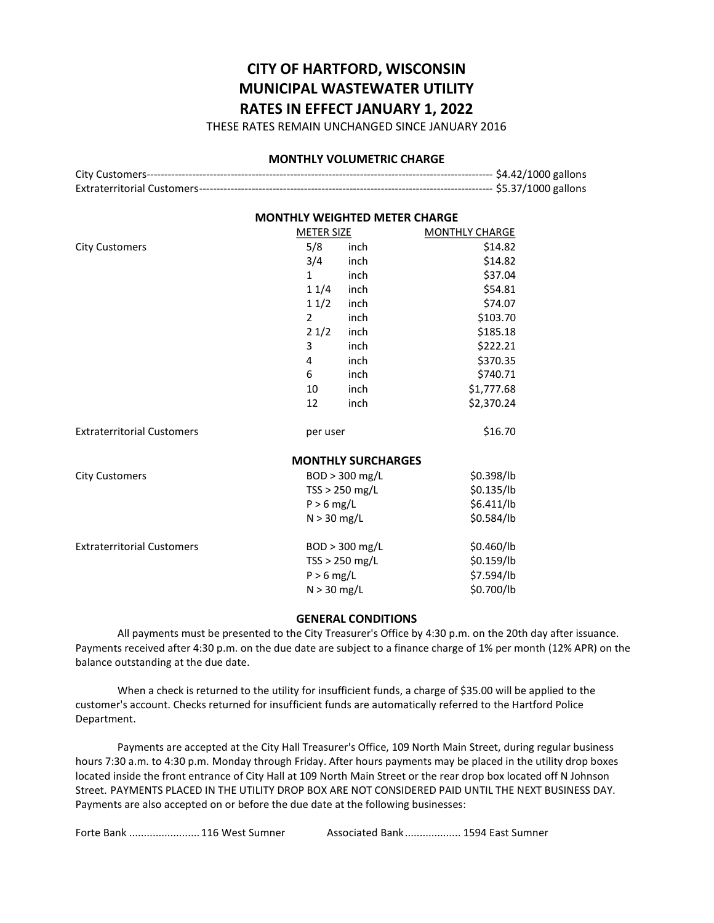# CITY OF HARTFORD, WISCONSIN MUNICIPAL WASTEWATER UTILITY RATES IN EFFECT JANUARY 1, 2022

THESE RATES REMAIN UNCHANGED SINCE JANUARY 2016

#### MONTHLY VOLUMETRIC CHARGE

#### MONTHLY WEIGHTED METER CHARGE

|                                   | <b>METER SIZE</b>         |                | <b>MONTHLY CHARGE</b> |  |
|-----------------------------------|---------------------------|----------------|-----------------------|--|
| <b>City Customers</b>             | 5/8                       | inch           | \$14.82               |  |
|                                   | 3/4                       | inch           | \$14.82               |  |
|                                   | $\mathbf{1}$              | inch           | \$37.04               |  |
|                                   | 11/4                      | inch           | \$54.81               |  |
|                                   | 11/2                      | inch           | \$74.07               |  |
|                                   | $\overline{2}$            | inch           | \$103.70              |  |
|                                   | 21/2                      | inch           | \$185.18              |  |
|                                   | 3                         | inch           | \$222.21              |  |
|                                   | 4                         | inch           | \$370.35              |  |
|                                   | 6                         | inch           | \$740.71              |  |
|                                   | 10                        | inch           | \$1,777.68            |  |
|                                   | 12                        | inch           | \$2,370.24            |  |
| <b>Extraterritorial Customers</b> | per user                  |                | \$16.70               |  |
|                                   | <b>MONTHLY SURCHARGES</b> |                |                       |  |
| <b>City Customers</b>             | $BOD > 300$ mg/L          |                | \$0.398/lb            |  |
|                                   | TSS > 250 mg/L            |                | \$0.135/lb            |  |
|                                   | $P > 6$ mg/L              |                | \$6.411/lb            |  |
|                                   | $N > 30$ mg/L             |                | \$0.584/lb            |  |
| <b>Extraterritorial Customers</b> |                           | BOD > 300 mg/L | \$0.460/lb            |  |
|                                   | $TSS > 250$ mg/L          |                | \$0.159/lb            |  |
|                                   | $P > 6$ mg/L              |                | \$7.594/lb            |  |
|                                   | $N > 30$ mg/L             |                | \$0.700/lb            |  |
|                                   |                           |                |                       |  |

### GENERAL CONDITIONS

All payments must be presented to the City Treasurer's Office by 4:30 p.m. on the 20th day after issuance. Payments received after 4:30 p.m. on the due date are subject to a finance charge of 1% per month (12% APR) on the balance outstanding at the due date.

 When a check is returned to the utility for insufficient funds, a charge of \$35.00 will be applied to the customer's account. Checks returned for insufficient funds are automatically referred to the Hartford Police Department.

 Payments are accepted at the City Hall Treasurer's Office, 109 North Main Street, during regular business hours 7:30 a.m. to 4:30 p.m. Monday through Friday. After hours payments may be placed in the utility drop boxes located inside the front entrance of City Hall at 109 North Main Street or the rear drop box located off N Johnson Street. PAYMENTS PLACED IN THE UTILITY DROP BOX ARE NOT CONSIDERED PAID UNTIL THE NEXT BUSINESS DAY. Payments are also accepted on or before the due date at the following businesses:

| Forte Bank  116 West Sumner |  |
|-----------------------------|--|
|-----------------------------|--|

Associated Bank ...................... 1594 East Sumner